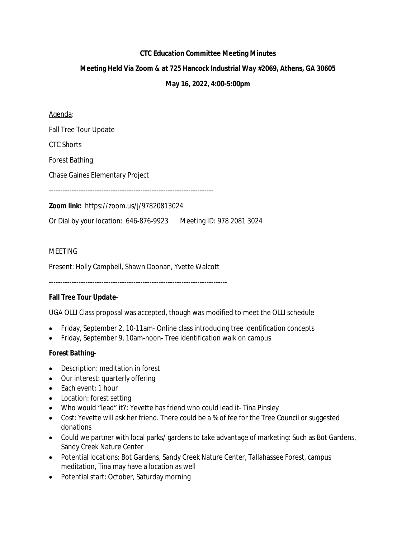# **CTC Education Committee Meeting Minutes**

# **Meeting Held Via Zoom & at 725 Hancock Industrial Way #2069, Athens, GA 30605**

### **May 16, 2022, 4:00-5:00pm**

Agenda:

Fall Tree Tour Update

CTC Shorts

Forest Bathing

Chase Gaines Elementary Project

------------------------------------------------------------------------

**Zoom link:** https://zoom.us/j/97820813024

Or Dial by your location: 646-876-9923 Meeting ID: 978 2081 3024

#### **MFFTING**

Present: Holly Campbell, Shawn Doonan, Yvette Walcott

------------------------------------------------------------------------------

#### **Fall Tree Tour Update**-

UGA OLLI Class proposal was accepted, though was modified to meet the OLLI schedule

- Friday, September 2, 10-11am- Online class introducing tree identification concepts
- Friday, September 9, 10am-noon- Tree identification walk on campus

# **Forest Bathing**-

- Description: meditation in forest
- Our interest: quarterly offering
- Each event: 1 hour
- Location: forest setting
- Who would "lead" it?: Yevette has friend who could lead it- Tina Pinsley
- Cost: Yevette will ask her friend. There could be a % of fee for the Tree Council or suggested donations
- Could we partner with local parks/ gardens to take advantage of marketing: Such as Bot Gardens, Sandy Creek Nature Center
- Potential locations: Bot Gardens, Sandy Creek Nature Center, Tallahassee Forest, campus meditation, Tina may have a location as well
- Potential start: October, Saturday morning